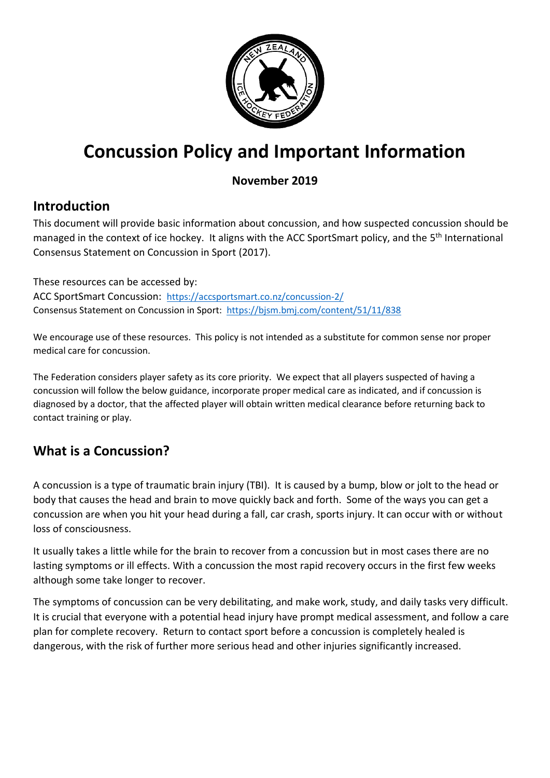

# **Concussion Policy and Important Information**

#### **November 2019**

## **Introduction**

This document will provide basic information about concussion, and how suspected concussion should be managed in the context of ice hockey. It aligns with the ACC SportSmart policy, and the 5<sup>th</sup> International Consensus Statement on Concussion in Sport (2017).

These resources can be accessed by: ACC SportSmart Concussion: <https://accsportsmart.co.nz/concussion-2/> Consensus Statement on Concussion in Sport: <https://bjsm.bmj.com/content/51/11/838>

We encourage use of these resources. This policy is not intended as a substitute for common sense nor proper medical care for concussion.

The Federation considers player safety as its core priority. We expect that all players suspected of having a concussion will follow the below guidance, incorporate proper medical care as indicated, and if concussion is diagnosed by a doctor, that the affected player will obtain written medical clearance before returning back to contact training or play.

## **What is a Concussion?**

A concussion is a type of traumatic brain injury (TBI). It is caused by a bump, blow or jolt to the head or body that causes the head and brain to move quickly back and forth. Some of the ways you can get a concussion are when you hit your head during a fall, car crash, sports injury. It can occur with or without loss of consciousness.

It usually takes a little while for the brain to recover from a concussion but in most cases there are no lasting symptoms or ill effects. With a concussion the most rapid recovery occurs in the first few weeks although some take longer to recover.

The symptoms of concussion can be very debilitating, and make work, study, and daily tasks very difficult. It is crucial that everyone with a potential head injury have prompt medical assessment, and follow a care plan for complete recovery. Return to contact sport before a concussion is completely healed is dangerous, with the risk of further more serious head and other injuries significantly increased.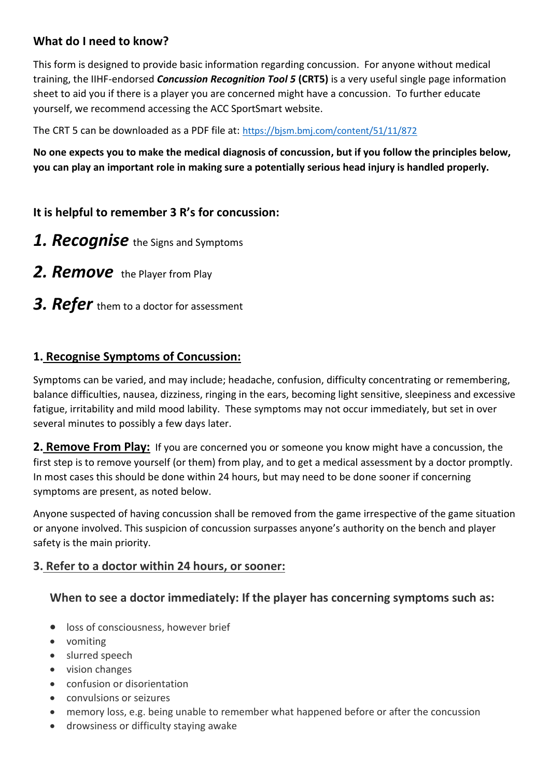#### **What do I need to know?**

This form is designed to provide basic information regarding concussion. For anyone without medical training, the IIHF-endorsed *Concussion Recognition Tool 5* **(CRT5)** is a very useful single page information sheet to aid you if there is a player you are concerned might have a concussion. To further educate yourself, we recommend accessing the ACC SportSmart website.

The CRT 5 can be downloaded as a PDF file at: <https://bjsm.bmj.com/content/51/11/872>

**No one expects you to make the medical diagnosis of concussion, but if you follow the principles below, you can play an important role in making sure a potentially serious head injury is handled properly.**

#### **It is helpful to remember 3 R's for concussion:**

- *1. Recognise* the Signs and Symptoms
- **2. Remove** the Player from Play
- **3. Refer** them to a doctor for assessment

#### **1. Recognise Symptoms of Concussion:**

Symptoms can be varied, and may include; headache, confusion, difficulty concentrating or remembering, balance difficulties, nausea, dizziness, ringing in the ears, becoming light sensitive, sleepiness and excessive fatigue, irritability and mild mood lability. These symptoms may not occur immediately, but set in over several minutes to possibly a few days later.

**2. Remove From Play:** If you are concerned you or someone you know might have a concussion, the first step is to remove yourself (or them) from play, and to get a medical assessment by a doctor promptly. In most cases this should be done within 24 hours, but may need to be done sooner if concerning symptoms are present, as noted below.

Anyone suspected of having concussion shall be removed from the game irrespective of the game situation or anyone involved. This suspicion of concussion surpasses anyone's authority on the bench and player safety is the main priority.

#### **3. Refer to a doctor within 24 hours, or sooner:**

#### **When to see a doctor immediately: If the player has concerning symptoms such as:**

- loss of consciousness, however brief
- vomiting
- slurred speech
- vision changes
- confusion or disorientation
- convulsions or seizures
- memory loss, e.g. being unable to remember what happened before or after the concussion
- drowsiness or difficulty staying awake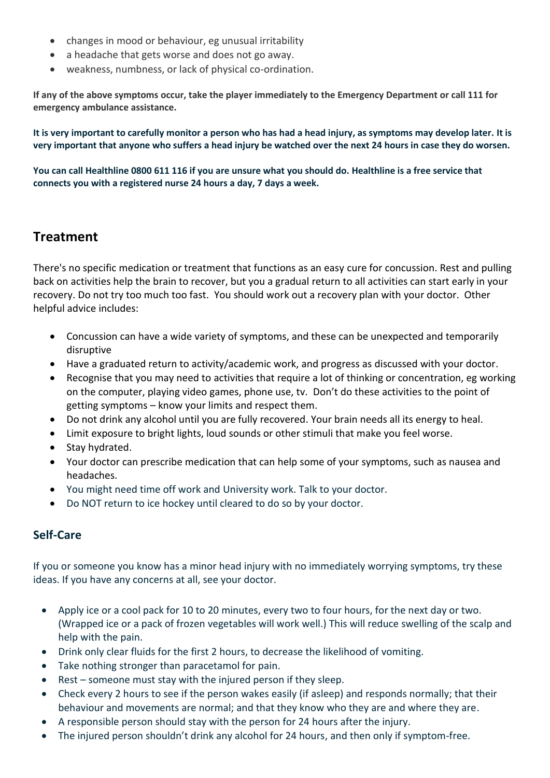- changes in mood or behaviour, eg unusual irritability
- a headache that gets worse and does not go away.
- weakness, numbness, or lack of physical co-ordination.

**If any of the above symptoms occur, take the player immediately to the Emergency Department or call 111 for emergency ambulance assistance.** 

**It is very important to carefully monitor a person who has had a head injury, as symptoms may develop later. It is very important that anyone who suffers a head injury be watched over the next 24 hours in case they do worsen.**

**You can call Healthline 0800 611 116 if you are unsure what you should do. Healthline is a free service that connects you with a registered nurse 24 hours a day, 7 days a week.** 

### **Treatment**

There's no specific medication or treatment that functions as an easy cure for concussion. Rest and pulling back on activities help the brain to recover, but you a gradual return to all activities can start early in your recovery. Do not try too much too fast. You should work out a recovery plan with your doctor. Other helpful advice includes:

- Concussion can have a wide variety of symptoms, and these can be unexpected and temporarily disruptive
- Have a graduated return to activity/academic work, and progress as discussed with your doctor.
- Recognise that you may need to activities that require a lot of thinking or concentration, eg working on the computer, playing video games, phone use, tv. Don't do these activities to the point of getting symptoms – know your limits and respect them.
- Do not drink any alcohol until you are fully recovered. Your brain needs all its energy to heal.
- Limit exposure to bright lights, loud sounds or other stimuli that make you feel worse.
- Stay hydrated.
- Your doctor can prescribe medication that can help some of your symptoms, such as nausea and headaches.
- You might need time off work and University work. Talk to your doctor.
- Do NOT return to ice hockey until cleared to do so by your doctor.

#### **Self-Care**

If you or someone you know has a minor head injury with no immediately worrying symptoms, try these ideas. If you have any concerns at all, see your doctor.

- Apply ice or a cool pack for 10 to 20 minutes, every two to four hours, for the next day or two. (Wrapped ice or a pack of frozen vegetables will work well.) This will reduce swelling of the scalp and help with the pain.
- Drink only clear fluids for the first 2 hours, to decrease the likelihood of vomiting.
- Take nothing stronger than paracetamol for pain.
- Rest someone must stay with the injured person if they sleep.
- Check every 2 hours to see if the person wakes easily (if asleep) and responds normally; that their behaviour and movements are normal; and that they know who they are and where they are.
- A responsible person should stay with the person for 24 hours after the injury.
- The injured person shouldn't drink any alcohol for 24 hours, and then only if symptom-free.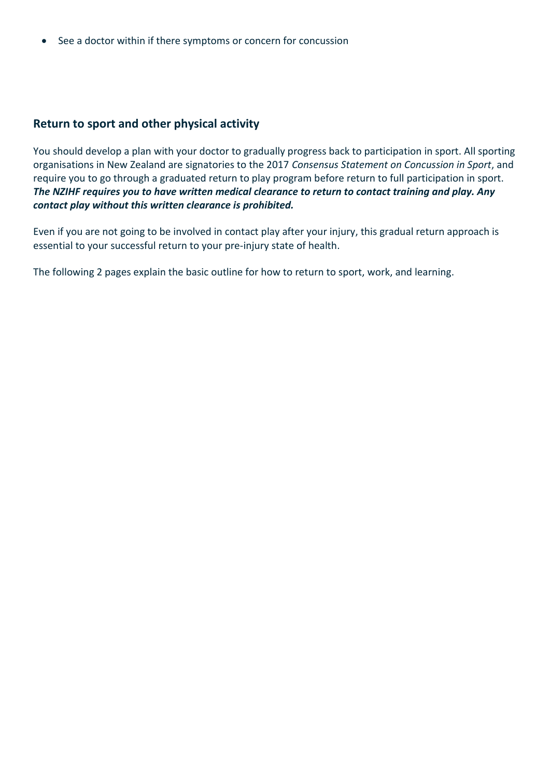• See a doctor within if there symptoms or concern for concussion

#### **Return to sport and other physical activity**

You should develop a plan with your doctor to gradually progress back to participation in sport. All sporting organisations in New Zealand are signatories to the 2017 *Consensus Statement on Concussion in Sport*, and require you to go through a graduated return to play program before return to full participation in sport. *The NZIHF requires you to have written medical clearance to return to contact training and play. Any contact play without this written clearance is prohibited.*

Even if you are not going to be involved in contact play after your injury, this gradual return approach is essential to your successful return to your pre-injury state of health.

The following 2 pages explain the basic outline for how to return to sport, work, and learning.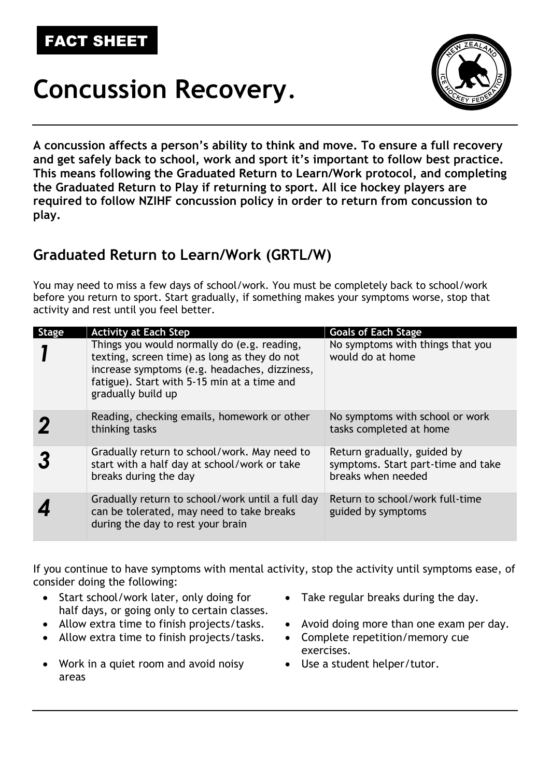# FACT SHEET

# **Concussion Recovery**.



**A concussion affects a person's ability to think and move. To ensure a full recovery and get safely back to school, work and sport it's important to follow best practice. This means following the Graduated Return to Learn/Work protocol, and completing the Graduated Return to Play if returning to sport. All ice hockey players are required to follow NZIHF concussion policy in order to return from concussion to play.** 

## **Graduated Return to Learn/Work (GRTL/W)**

You may need to miss a few days of school/work. You must be completely back to school/work before you return to sport. Start gradually, if something makes your symptoms worse, stop that activity and rest until you feel better.

| <b>Stage</b> | <b>Activity at Each Step</b>                                                                                                                                                                                      | <b>Goals of Each Stage</b>                                                              |
|--------------|-------------------------------------------------------------------------------------------------------------------------------------------------------------------------------------------------------------------|-----------------------------------------------------------------------------------------|
|              | Things you would normally do (e.g. reading,<br>texting, screen time) as long as they do not<br>increase symptoms (e.g. headaches, dizziness,<br>fatigue). Start with 5-15 min at a time and<br>gradually build up | No symptoms with things that you<br>would do at home                                    |
|              | Reading, checking emails, homework or other<br>thinking tasks                                                                                                                                                     | No symptoms with school or work<br>tasks completed at home                              |
|              | Gradually return to school/work. May need to<br>start with a half day at school/work or take<br>breaks during the day                                                                                             | Return gradually, guided by<br>symptoms. Start part-time and take<br>breaks when needed |
|              | Gradually return to school/work until a full day<br>can be tolerated, may need to take breaks<br>during the day to rest your brain                                                                                | Return to school/work full-time<br>guided by symptoms                                   |

If you continue to have symptoms with mental activity, stop the activity until symptoms ease, of consider doing the following:

- Start school/work later, only doing for half days, or going only to certain classes.
- 
- Allow extra time to finish projects/tasks. Complete repetition/memory cue
- Work in a quiet room and avoid noisy areas
- Take regular breaks during the day.
- Allow extra time to finish projects/tasks. Avoid doing more than one exam per day.
	- exercises.
	- Use a student helper/tutor.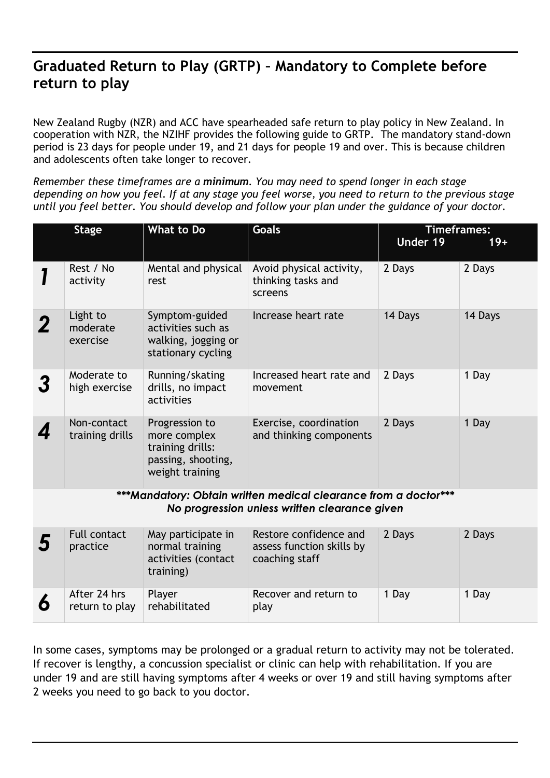## **Graduated Return to Play (GRTP) – Mandatory to Complete before return to play**

New Zealand Rugby (NZR) and ACC have spearheaded safe return to play policy in New Zealand. In cooperation with NZR, the NZIHF provides the following guide to GRTP. The mandatory stand-down period is 23 days for people under 19, and 21 days for people 19 and over. This is because children and adolescents often take longer to recover.

*Remember these timeframes are a minimum. You may need to spend longer in each stage depending on how you feel. If at any stage you feel worse, you need to return to the previous stage until you feel better. You should develop and follow your plan under the guidance of your doctor.*

|                                                                                                                  | <b>Stage</b>                     | What to Do                                                                                  | <b>Goals</b>                                                          | <b>Timeframes:</b><br>Under 19 | $19+$   |  |
|------------------------------------------------------------------------------------------------------------------|----------------------------------|---------------------------------------------------------------------------------------------|-----------------------------------------------------------------------|--------------------------------|---------|--|
|                                                                                                                  | Rest / No<br>activity            | Mental and physical<br>rest                                                                 | Avoid physical activity,<br>thinking tasks and<br>screens             | 2 Days                         | 2 Days  |  |
|                                                                                                                  | Light to<br>moderate<br>exercise | Symptom-guided<br>activities such as<br>walking, jogging or<br>stationary cycling           | Increase heart rate                                                   | 14 Days                        | 14 Days |  |
| 3                                                                                                                | Moderate to<br>high exercise     | Running/skating<br>drills, no impact<br>activities                                          | Increased heart rate and<br>movement                                  | 2 Days                         | 1 Day   |  |
|                                                                                                                  | Non-contact<br>training drills   | Progression to<br>more complex<br>training drills:<br>passing, shooting,<br>weight training | Exercise, coordination<br>and thinking components                     | 2 Days                         | 1 Day   |  |
| ***Mandatory: Obtain written medical clearance from a doctor***<br>No progression unless written clearance given |                                  |                                                                                             |                                                                       |                                |         |  |
| 5                                                                                                                | <b>Full contact</b><br>practice  | May participate in<br>normal training<br>activities (contact<br>training)                   | Restore confidence and<br>assess function skills by<br>coaching staff | 2 Days                         | 2 Days  |  |
| 6                                                                                                                | After 24 hrs<br>return to play   | Player<br>rehabilitated                                                                     | Recover and return to<br>play                                         | 1 Day                          | 1 Day   |  |

In some cases, symptoms may be prolonged or a gradual return to activity may not be tolerated. If recover is lengthy, a concussion specialist or clinic can help with rehabilitation. If you are under 19 and are still having symptoms after 4 weeks or over 19 and still having symptoms after 2 weeks you need to go back to you doctor.